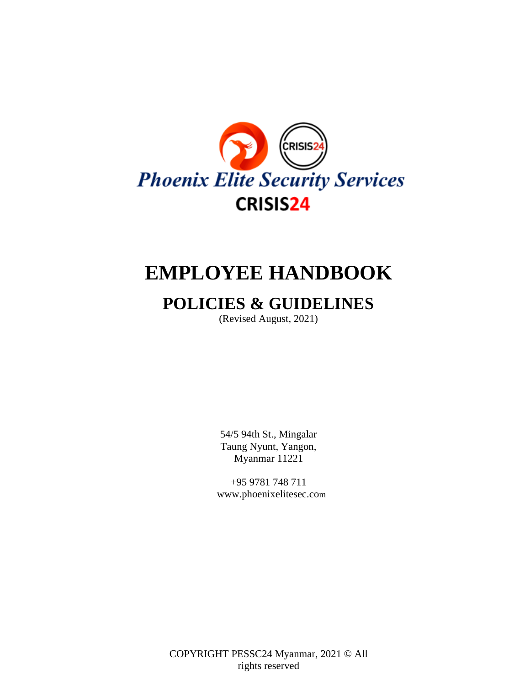

# **EMPLOYEE HANDBOOK**

# **POLICIES & GUIDELINES**

(Revised August, 2021)

54/5 94th St., Mingalar Taung Nyunt, Yangon, Myanmar 11221

+95 9781 748 71[1](http://www.securityeyeinc.com/) [www.phoenixelitesec.co](http://www.securityeyeinc.com/)m

COPYRIGHT PESSC24 Myanmar, 2021 © All rights reserved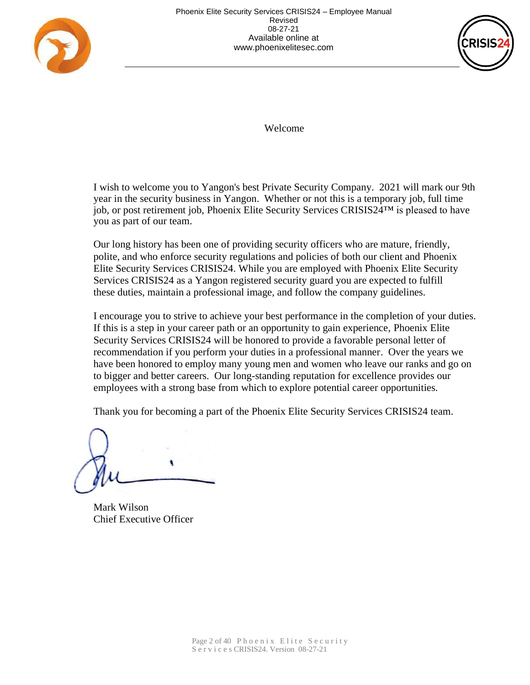



Welcome

I wish to welcome you to Yangon's best Private Security Company. 2021 will mark our 9th year in the security business in Yangon. Whether or not this is a temporary job, full time job, or post retirement job, Phoenix Elite Security Services CRISIS24™ is pleased to have you as part of our team.

Our long history has been one of providing security officers who are mature, friendly, polite, and who enforce security regulations and policies of both our client and Phoenix Elite Security Services CRISIS24. While you are employed with Phoenix Elite Security Services CRISIS24 as a Yangon registered security guard you are expected to fulfill these duties, maintain a professional image, and follow the company guidelines.

I encourage you to strive to achieve your best performance in the completion of your duties. If this is a step in your career path or an opportunity to gain experience, Phoenix Elite Security Services CRISIS24 will be honored to provide a favorable personal letter of recommendation if you perform your duties in a professional manner. Over the years we have been honored to employ many young men and women who leave our ranks and go on to bigger and better careers. Our long-standing reputation for excellence provides our employees with a strong base from which to explore potential career opportunities.

Thank you for becoming a part of the Phoenix Elite Security Services CRISIS24 team.

 $\mathcal{P}$ 

Mark Wilson Chief Executive Officer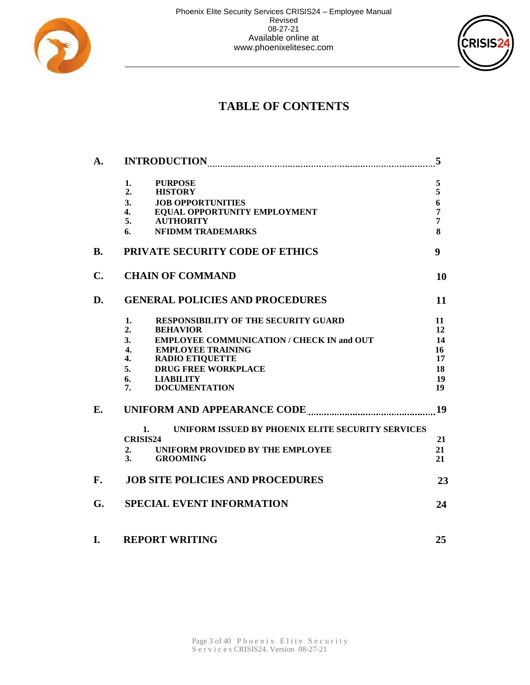



# **TABLE OF CONTENTS**

| A.             |                                                                                        |                     |  |  |  |  |  |
|----------------|----------------------------------------------------------------------------------------|---------------------|--|--|--|--|--|
|                | <b>PURPOSE</b><br>1.                                                                   | 5                   |  |  |  |  |  |
|                | <b>HISTORY</b><br>2.                                                                   | 5                   |  |  |  |  |  |
|                | 3.<br><b>JOB OPPORTUNITIES</b>                                                         | 6                   |  |  |  |  |  |
|                | EOUAL OPPORTUNITY EMPLOYMENT<br>4.<br><b>AUTHORITY</b><br>5.                           | $\overline{7}$<br>7 |  |  |  |  |  |
|                | <b>NFIDMM TRADEMARKS</b><br>6.                                                         | 8                   |  |  |  |  |  |
| <b>B.</b>      | PRIVATE SECURITY CODE OF ETHICS                                                        |                     |  |  |  |  |  |
| $\mathbf{C}$ . | <b>CHAIN OF COMMAND</b>                                                                | 10                  |  |  |  |  |  |
| D.             | <b>GENERAL POLICIES AND PROCEDURES</b>                                                 | 11                  |  |  |  |  |  |
|                | <b>RESPONSIBILITY OF THE SECURITY GUARD</b><br>1.                                      | 11                  |  |  |  |  |  |
|                | 2.<br><b>BEHAVIOR</b>                                                                  | 12                  |  |  |  |  |  |
|                | <b>EMPLOYEE COMMUNICATION / CHECK IN and OUT</b><br>3 <sub>1</sub>                     | 14                  |  |  |  |  |  |
|                | <b>EMPLOYEE TRAINING</b><br>$\overline{4}$ .<br>$\mathbf{4}$<br><b>RADIO ETIQUETTE</b> | 16<br>17            |  |  |  |  |  |
|                | <b>DRUG FREE WORKPLACE</b><br>5.                                                       | 18                  |  |  |  |  |  |
|                | 6.<br><b>LIABILITY</b>                                                                 | 19                  |  |  |  |  |  |
|                | <b>DOCUMENTATION</b><br>7.                                                             | 19                  |  |  |  |  |  |
| Е.             | 19                                                                                     |                     |  |  |  |  |  |
|                | UNIFORM ISSUED BY PHOENIX ELITE SECURITY SERVICES<br>1.                                |                     |  |  |  |  |  |
|                | <b>CRISIS24</b>                                                                        | 21                  |  |  |  |  |  |
|                | UNIFORM PROVIDED BY THE EMPLOYEE<br>2.                                                 | 21                  |  |  |  |  |  |
|                | $\mathbf{3}$ .<br><b>GROOMING</b>                                                      | 21                  |  |  |  |  |  |
| F.             | <b>JOB SITE POLICIES AND PROCEDURES</b>                                                | 23                  |  |  |  |  |  |
| G.             | <b>SPECIAL EVENT INFORMATION</b>                                                       | 24                  |  |  |  |  |  |
| I.             | <b>REPORT WRITING</b>                                                                  | 25                  |  |  |  |  |  |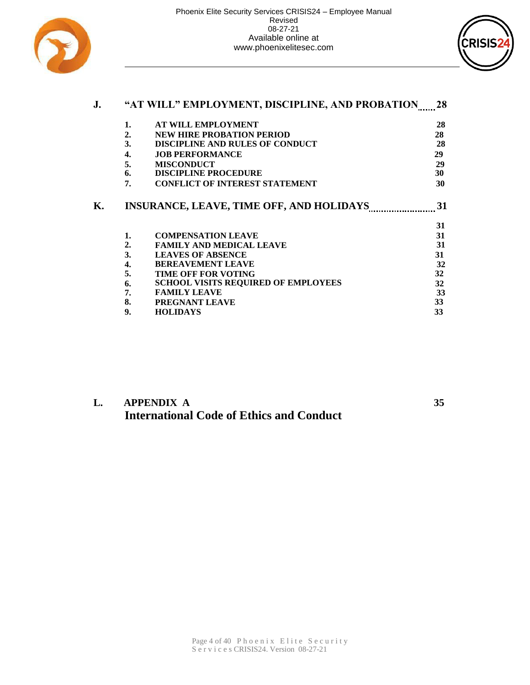



| J. | "AT WILL" EMPLOYMENT, DISCIPLINE, AND PROBATION |                                            |    |  |  |  |
|----|-------------------------------------------------|--------------------------------------------|----|--|--|--|
|    | 1.                                              | <b>AT WILL EMPLOYMENT</b>                  | 28 |  |  |  |
|    | 2.                                              | <b>NEW HIRE PROBATION PERIOD</b>           | 28 |  |  |  |
|    | 3.                                              | <b>DISCIPLINE AND RULES OF CONDUCT</b>     | 28 |  |  |  |
|    | 4.                                              | <b>JOB PERFORMANCE</b>                     | 29 |  |  |  |
|    | 5.                                              | <b>MISCONDUCT</b>                          | 29 |  |  |  |
|    | 6.                                              | <b>DISCIPLINE PROCEDURE</b>                | 30 |  |  |  |
|    | 7.                                              | <b>CONFLICT OF INTEREST STATEMENT</b>      | 30 |  |  |  |
|    |                                                 |                                            | 31 |  |  |  |
|    | 1.                                              | <b>COMPENSATION LEAVE</b>                  | 31 |  |  |  |
|    | 2.                                              | <b>FAMILY AND MEDICAL LEAVE</b>            | 31 |  |  |  |
|    | 3.                                              | <b>LEAVES OF ABSENCE</b>                   | 31 |  |  |  |
|    | 4.                                              | <b>BEREAVEMENT LEAVE</b>                   | 32 |  |  |  |
|    | 5.                                              | <b>TIME OFF FOR VOTING</b>                 | 32 |  |  |  |
|    | 6.                                              | <b>SCHOOL VISITS REQUIRED OF EMPLOYEES</b> | 32 |  |  |  |
|    | 7.                                              | <b>FAMILY LEAVE</b>                        | 33 |  |  |  |
|    | 8.                                              | PREGNANT LEAVE                             | 33 |  |  |  |
|    | 9.                                              | <b>HOLIDAYS</b>                            | 33 |  |  |  |

### **L. APPENDIX A 35 International Code of Ethics and Conduct**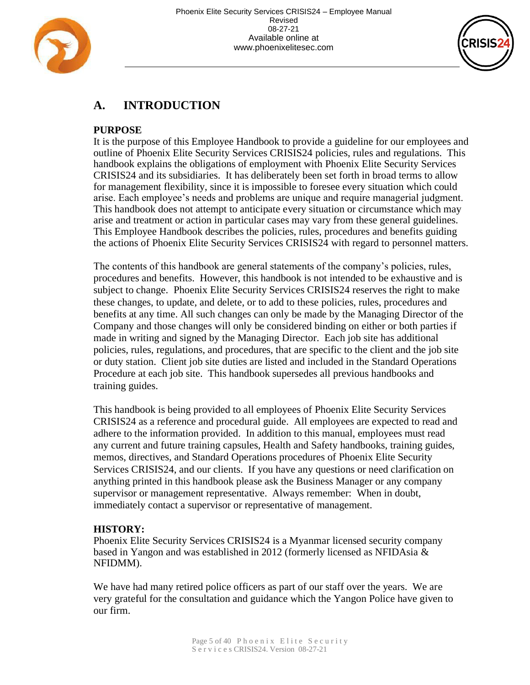



# **A. INTRODUCTION**

#### **PURPOSE**

It is the purpose of this Employee Handbook to provide a guideline for our employees and outline of Phoenix Elite Security Services CRISIS24 policies, rules and regulations. This handbook explains the obligations of employment with Phoenix Elite Security Services CRISIS24 and its subsidiaries. It has deliberately been set forth in broad terms to allow for management flexibility, since it is impossible to foresee every situation which could arise. Each employee's needs and problems are unique and require managerial judgment. This handbook does not attempt to anticipate every situation or circumstance which may arise and treatment or action in particular cases may vary from these general guidelines. This Employee Handbook describes the policies, rules, procedures and benefits guiding the actions of Phoenix Elite Security Services CRISIS24 with regard to personnel matters.

The contents of this handbook are general statements of the company's policies, rules, procedures and benefits. However, this handbook is not intended to be exhaustive and is subject to change. Phoenix Elite Security Services CRISIS24 reserves the right to make these changes, to update, and delete, or to add to these policies, rules, procedures and benefits at any time. All such changes can only be made by the Managing Director of the Company and those changes will only be considered binding on either or both parties if made in writing and signed by the Managing Director. Each job site has additional policies, rules, regulations, and procedures, that are specific to the client and the job site or duty station. Client job site duties are listed and included in the Standard Operations Procedure at each job site. This handbook supersedes all previous handbooks and training guides.

This handbook is being provided to all employees of Phoenix Elite Security Services CRISIS24 as a reference and procedural guide. All employees are expected to read and adhere to the information provided. In addition to this manual, employees must read any current and future training capsules, Health and Safety handbooks, training guides, memos, directives, and Standard Operations procedures of Phoenix Elite Security Services CRISIS24, and our clients. If you have any questions or need clarification on anything printed in this handbook please ask the Business Manager or any company supervisor or management representative. Always remember: When in doubt, immediately contact a supervisor or representative of management.

#### **HISTORY:**

Phoenix Elite Security Services CRISIS24 is a Myanmar licensed security company based in Yangon and was established in 2012 (formerly licensed as NFIDAsia & NFIDMM).

We have had many retired police officers as part of our staff over the years. We are very grateful for the consultation and guidance which the Yangon Police have given to our firm.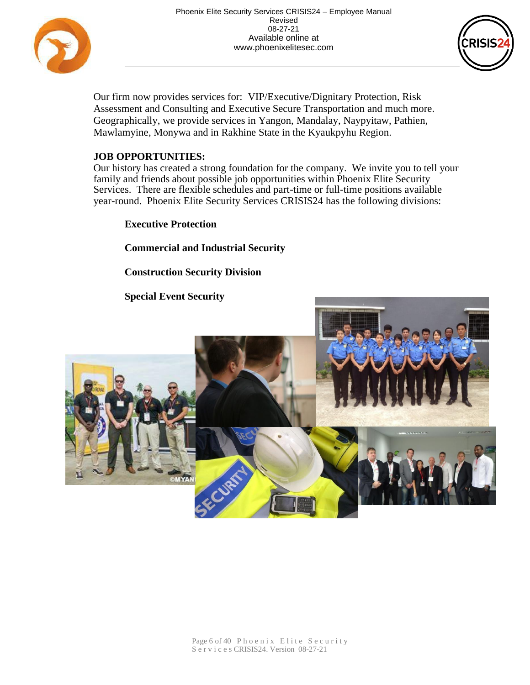



Our firm now provides services for: VIP/Executive/Dignitary Protection, Risk Assessment and Consulting and Executive Secure Transportation and much more. Geographically, we provide services in Yangon, Mandalay, Naypyitaw, Pathien, Mawlamyine, Monywa and in Rakhine State in the Kyaukpyhu Region.

#### **JOB OPPORTUNITIES:**

Our history has created a strong foundation for the company. We invite you to tell your family and friends about possible job opportunities within Phoenix Elite Security Services. There are flexible schedules and part-time or full-time positions available year-round. Phoenix Elite Security Services CRISIS24 has the following divisions:

**Executive Protection**

**Commercial and Industrial Security** 

#### **Construction Security Division**

#### **Special Event Security**

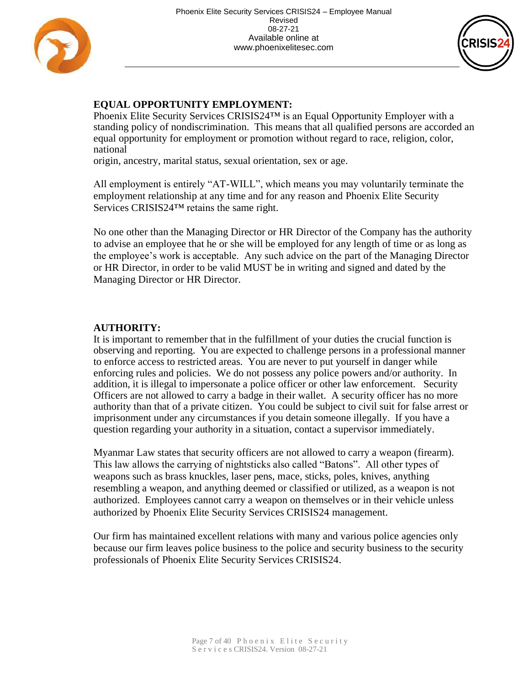



#### **EQUAL OPPORTUNITY EMPLOYMENT:**

Phoenix Elite Security Services CRISIS24<sup>™</sup> is an Equal Opportunity Employer with a standing policy of nondiscrimination. This means that all qualified persons are accorded an equal opportunity for employment or promotion without regard to race, religion, color, national

origin, ancestry, marital status, sexual orientation, sex or age.

All employment is entirely "AT-WILL", which means you may voluntarily terminate the employment relationship at any time and for any reason and Phoenix Elite Security Services CRISIS24™ retains the same right.

No one other than the Managing Director or HR Director of the Company has the authority to advise an employee that he or she will be employed for any length of time or as long as the employee's work is acceptable. Any such advice on the part of the Managing Director or HR Director, in order to be valid MUST be in writing and signed and dated by the Managing Director or HR Director.

#### **AUTHORITY:**

It is important to remember that in the fulfillment of your duties the crucial function is observing and reporting. You are expected to challenge persons in a professional manner to enforce access to restricted areas. You are never to put yourself in danger while enforcing rules and policies. We do not possess any police powers and/or authority. In addition, it is illegal to impersonate a police officer or other law enforcement. Security Officers are not allowed to carry a badge in their wallet. A security officer has no more authority than that of a private citizen. You could be subject to civil suit for false arrest or imprisonment under any circumstances if you detain someone illegally. If you have a question regarding your authority in a situation, contact a supervisor immediately.

Myanmar Law states that security officers are not allowed to carry a weapon (firearm). This law allows the carrying of nightsticks also called "Batons". All other types of weapons such as brass knuckles, laser pens, mace, sticks, poles, knives, anything resembling a weapon, and anything deemed or classified or utilized, as a weapon is not authorized. Employees cannot carry a weapon on themselves or in their vehicle unless authorized by Phoenix Elite Security Services CRISIS24 management.

Our firm has maintained excellent relations with many and various police agencies only because our firm leaves police business to the police and security business to the security professionals of Phoenix Elite Security Services CRISIS24.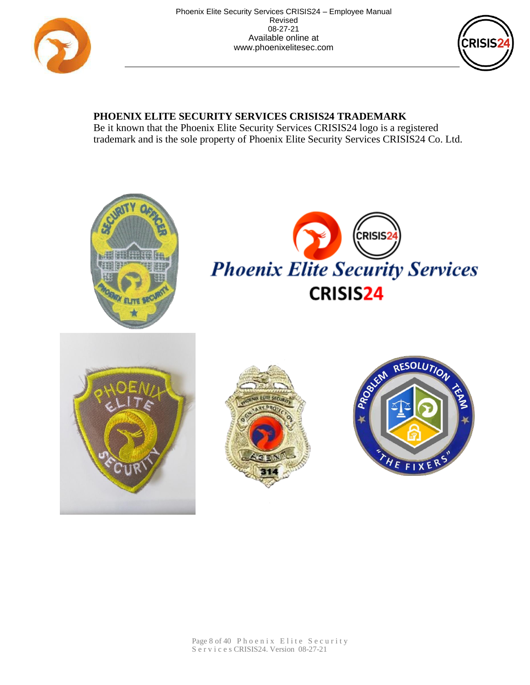



## **PHOENIX ELITE SECURITY SERVICES CRISIS24 TRADEMARK**

Be it known that the Phoenix Elite Security Services CRISIS24 logo is a registered trademark and is the sole property of Phoenix Elite Security Services CRISIS24 Co. Ltd.









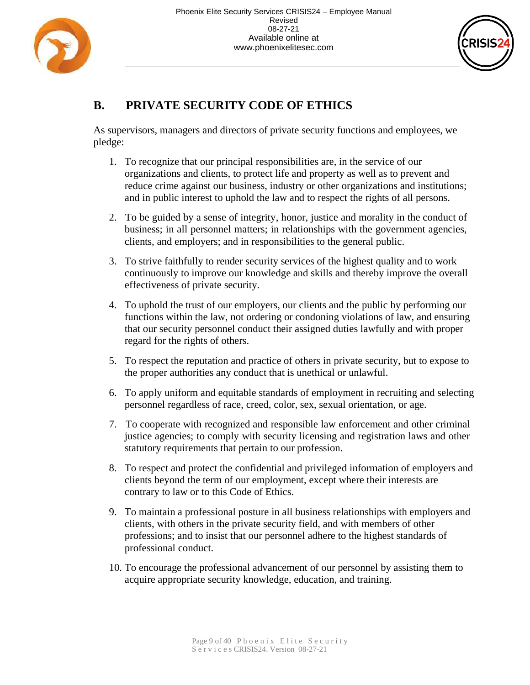



# **B. PRIVATE SECURITY CODE OF ETHICS**

As supervisors, managers and directors of private security functions and employees, we pledge:

- 1. To recognize that our principal responsibilities are, in the service of our organizations and clients, to protect life and property as well as to prevent and reduce crime against our business, industry or other organizations and institutions; and in public interest to uphold the law and to respect the rights of all persons.
- 2. To be guided by a sense of integrity, honor, justice and morality in the conduct of business; in all personnel matters; in relationships with the government agencies, clients, and employers; and in responsibilities to the general public.
- 3. To strive faithfully to render security services of the highest quality and to work continuously to improve our knowledge and skills and thereby improve the overall effectiveness of private security.
- 4. To uphold the trust of our employers, our clients and the public by performing our functions within the law, not ordering or condoning violations of law, and ensuring that our security personnel conduct their assigned duties lawfully and with proper regard for the rights of others.
- 5. To respect the reputation and practice of others in private security, but to expose to the proper authorities any conduct that is unethical or unlawful.
- 6. To apply uniform and equitable standards of employment in recruiting and selecting personnel regardless of race, creed, color, sex, sexual orientation, or age.
- 7. To cooperate with recognized and responsible law enforcement and other criminal justice agencies; to comply with security licensing and registration laws and other statutory requirements that pertain to our profession.
- 8. To respect and protect the confidential and privileged information of employers and clients beyond the term of our employment, except where their interests are contrary to law or to this Code of Ethics.
- 9. To maintain a professional posture in all business relationships with employers and clients, with others in the private security field, and with members of other professions; and to insist that our personnel adhere to the highest standards of professional conduct.
- 10. To encourage the professional advancement of our personnel by assisting them to acquire appropriate security knowledge, education, and training.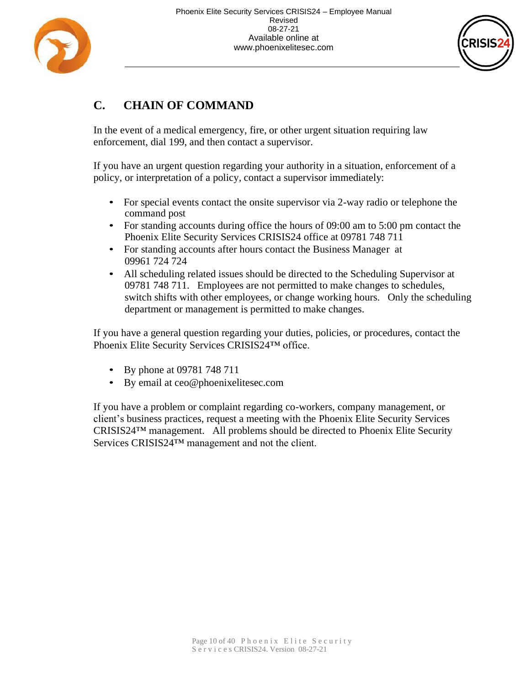



# **C. CHAIN OF COMMAND**

In the event of a medical emergency, fire, or other urgent situation requiring law enforcement, dial 199, and then contact a supervisor.

If you have an urgent question regarding your authority in a situation, enforcement of a policy, or interpretation of a policy, contact a supervisor immediately:

- For special events contact the onsite supervisor via 2-way radio or telephone the command post
- For standing accounts during office the hours of 09:00 am to 5:00 pm contact the Phoenix Elite Security Services CRISIS24 office at 09781 748 711
- For standing accounts after hours contact the Business Manager at 09961 724 724
- All scheduling related issues should be directed to the Scheduling Supervisor at 09781 748 711. Employees are not permitted to make changes to schedules, switch shifts with other employees, or change working hours. Only the scheduling department or management is permitted to make changes.

If you have a general question regarding your duties, policies, or procedures, contact the Phoenix Elite Security Services CRISIS24™ office.

- By phone at 09781 748 711
- By email at ceo@phoenixelitesec.com

If you have a problem or complaint regarding co-workers, company management, or client's business practices, request a meeting with the Phoenix Elite Security Services CRISIS24™ management. All problems should be directed to Phoenix Elite Security Services CRISIS24™ management and not the client.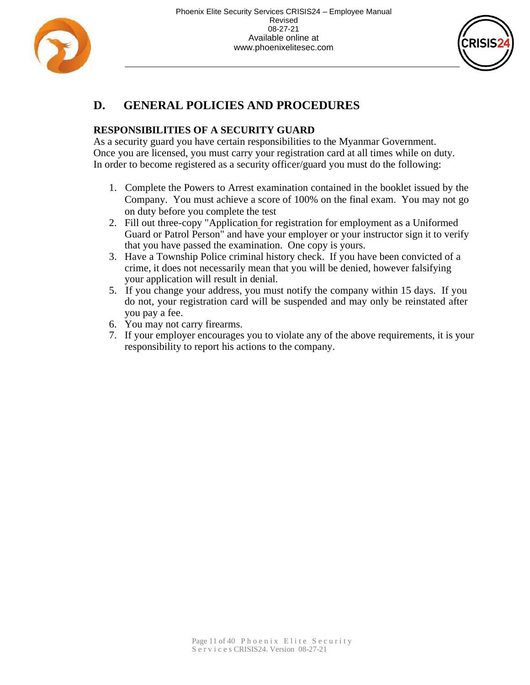



# **D. GENERAL POLICIES AND PROCEDURES**

#### **RESPONSIBILITIES OF A SECURITY GUARD**

As a security guard you have certain responsibilities to the Myanmar Government. Once you are licensed, you must carry your registration card at all times while on duty. In order to become registered as a security officer/guard you must do the following:

- 1. Complete the Powers to Arrest examination contained in the booklet issued by the Company. You must achieve a score of 100% on the final exam. You may not go on duty before you complete the test
- 2. Fill out three-copy "Application for registration for employment as a Uniformed Guard or Patrol Person" and have your employer or your instructor sign it to verify that you have passed the examination. One copy is yours.
- 3. Have a Township Police criminal history check. If you have been convicted of a crime, it does not necessarily mean that you will be denied, however falsifying your application will result in denial.
- 5. If you change your address, you must notify the company within 15 days. If you do not, your registration card will be suspended and may only be reinstated after you pay a fee.
- 6. You may not carry firearms.
- 7. If your employer encourages you to violate any of the above requirements, it is your responsibility to report his actions to the company.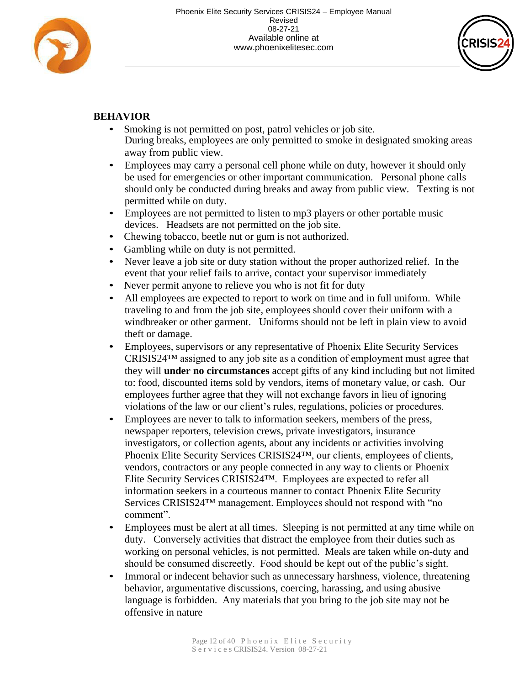



#### **BEHAVIOR**

- Smoking is not permitted on post, patrol vehicles or job site. During breaks, employees are only permitted to smoke in designated smoking areas away from public view.
- Employees may carry a personal cell phone while on duty, however it should only be used for emergencies or other important communication. Personal phone calls should only be conducted during breaks and away from public view. Texting is not permitted while on duty.
- Employees are not permitted to listen to mp3 players or other portable music devices. Headsets are not permitted on the job site.
- Chewing tobacco, beetle nut or gum is not authorized.
- Gambling while on duty is not permitted.
- Never leave a job site or duty station without the proper authorized relief. In the event that your relief fails to arrive, contact your supervisor immediately
- Never permit anyone to relieve you who is not fit for duty
- All employees are expected to report to work on time and in full uniform. While traveling to and from the job site, employees should cover their uniform with a windbreaker or other garment. Uniforms should not be left in plain view to avoid theft or damage.
- Employees, supervisors or any representative of Phoenix Elite Security Services  $CRISIS24<sup>TM</sup>$  assigned to any job site as a condition of employment must agree that they will **under no circumstances** accept gifts of any kind including but not limited to: food, discounted items sold by vendors, items of monetary value, or cash. Our employees further agree that they will not exchange favors in lieu of ignoring violations of the law or our client's rules, regulations, policies or procedures.
- Employees are never to talk to information seekers, members of the press, newspaper reporters, television crews, private investigators, insurance investigators, or collection agents, about any incidents or activities involving Phoenix Elite Security Services CRISIS24™, our clients, employees of clients, vendors, contractors or any people connected in any way to clients or Phoenix Elite Security Services CRISIS24™. Employees are expected to refer all information seekers in a courteous manner to contact Phoenix Elite Security Services CRISIS24™ management. Employees should not respond with "no comment".
- Employees must be alert at all times. Sleeping is not permitted at any time while on duty. Conversely activities that distract the employee from their duties such as working on personal vehicles, is not permitted. Meals are taken while on-duty and should be consumed discreetly. Food should be kept out of the public's sight.
- Immoral or indecent behavior such as unnecessary harshness, violence, threatening behavior, argumentative discussions, coercing, harassing, and using abusive language is forbidden. Any materials that you bring to the job site may not be offensive in nature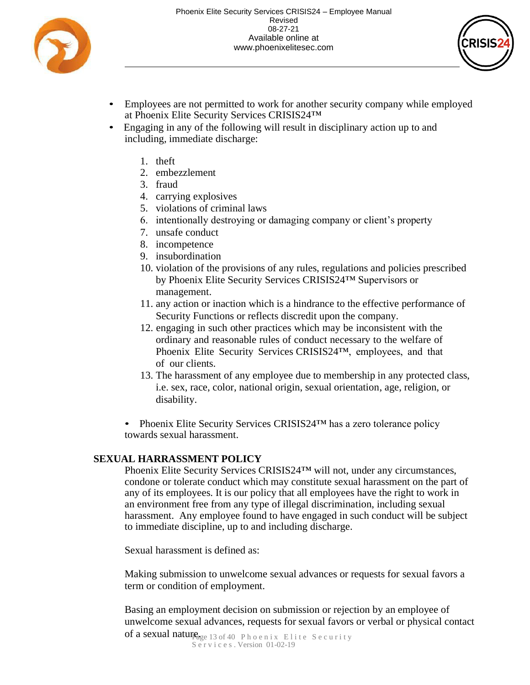



- Employees are not permitted to work for another security company while employed at Phoenix Elite Security Services CRISIS24™
- Engaging in any of the following will result in disciplinary action up to and including, immediate discharge:
	- 1. theft
	- 2. embezzlement
	- 3. fraud
	- 4. carrying explosives
	- 5. violations of criminal laws
	- 6. intentionally destroying or damaging company or client's property
	- 7. unsafe conduct
	- 8. incompetence
	- 9. insubordination
	- 10. violation of the provisions of any rules, regulations and policies prescribed by Phoenix Elite Security Services CRISIS24™ Supervisors or management.
	- 11. any action or inaction which is a hindrance to the effective performance of Security Functions or reflects discredit upon the company.
	- 12. engaging in such other practices which may be inconsistent with the ordinary and reasonable rules of conduct necessary to the welfare of Phoenix Elite Security Services CRISIS24™, employees, and that of our clients.
	- 13. The harassment of any employee due to membership in any protected class, i.e. sex, race, color, national origin, sexual orientation, age, religion, or disability.
	- Phoenix Elite Security Services CRISIS24™ has a zero tolerance policy towards sexual harassment.

#### **SEXUAL HARRASSMENT POLICY**

Phoenix Elite Security Services CRISIS24™ will not, under any circumstances, condone or tolerate conduct which may constitute sexual harassment on the part of any of its employees. It is our policy that all employees have the right to work in an environment free from any type of illegal discrimination, including sexual harassment. Any employee found to have engaged in such conduct will be subject to immediate discipline, up to and including discharge.

Sexual harassment is defined as:

Making submission to unwelcome sexual advances or requests for sexual favors a term or condition of employment.

Basing an employment decision on submission or rejection by an employee of unwelcome sexual advances, requests for sexual favors or verbal or physical contact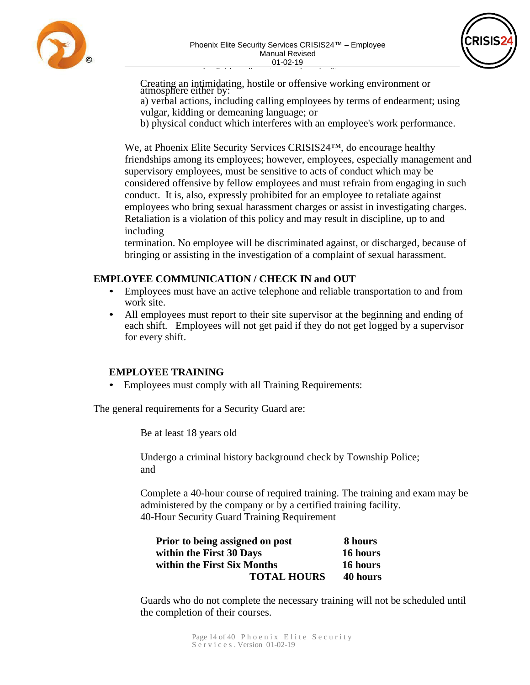



Available online at www.phoenixelitesec.com Creating an intimidating, hostile or offensive working environment or atmosphere either by:

a) verbal actions, including calling employees by terms of endearment; using vulgar, kidding or demeaning language; or

b) physical conduct which interferes with an employee's work performance.

We, at Phoenix Elite Security Services CRISIS24™, do encourage healthy friendships among its employees; however, employees, especially management and supervisory employees, must be sensitive to acts of conduct which may be considered offensive by fellow employees and must refrain from engaging in such conduct. It is, also, expressly prohibited for an employee to retaliate against employees who bring sexual harassment charges or assist in investigating charges. Retaliation is a violation of this policy and may result in discipline, up to and including

termination. No employee will be discriminated against, or discharged, because of bringing or assisting in the investigation of a complaint of sexual harassment.

#### **EMPLOYEE COMMUNICATION / CHECK IN and OUT**

- Employees must have an active telephone and reliable transportation to and from work site.
- All employees must report to their site supervisor at the beginning and ending of each shift. Employees will not get paid if they do not get logged by a supervisor for every shift.

#### **EMPLOYEE TRAINING**

• Employees must comply with all Training Requirements:

The general requirements for a Security Guard are:

Be at least 18 years old

Undergo a criminal history background check by Township Police; and

Complete a 40-hour course of required training. The training and exam may be administered by the company or by a certified training facility. 40-Hour Security Guard Training Requirement

| Prior to being assigned on post | 8 hours  |
|---------------------------------|----------|
| within the First 30 Days        | 16 hours |
| within the First Six Months     | 16 hours |
| <b>TOTAL HOURS</b>              | 40 hours |

Guards who do not complete the necessary training will not be scheduled until the completion of their courses.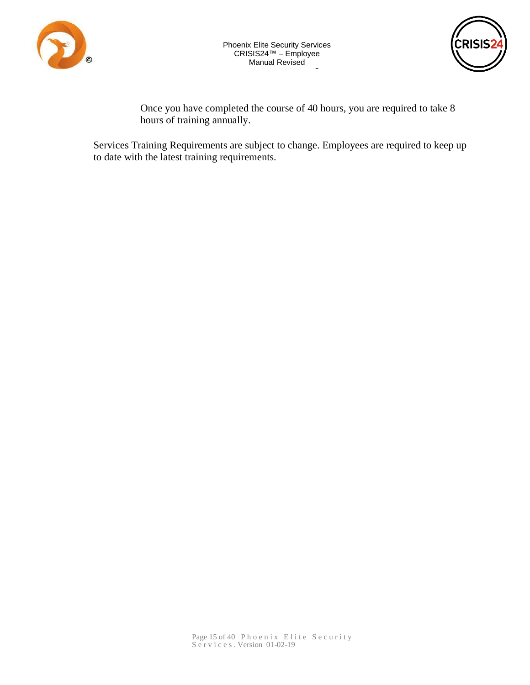



 $\mathbf{r}$ Once you have completed the course of 40 hours, you are required to take 8 hours of training annually.

0

Dequirements are subject to change Services Training Requirements are subject to chang[e. Employees are req](http://www.phoenixelitesec.com/)uired to keep up to date with the latest training requirements.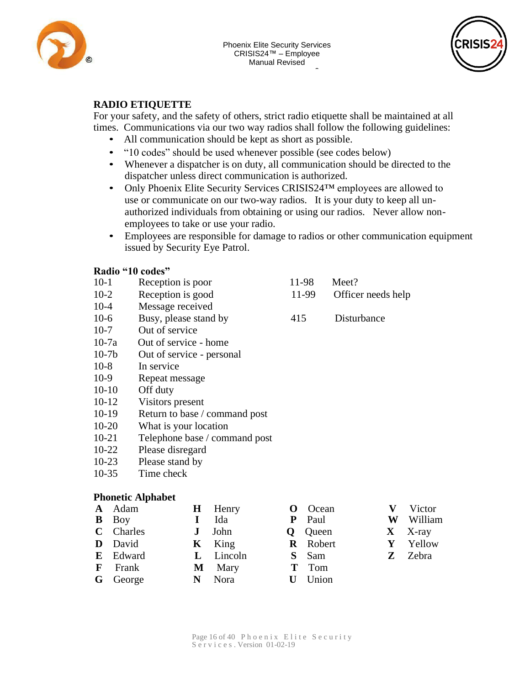



#### **RADIO ETIQUETTE**

For your safety, and the safety of others, strict radio etiquette shall be maintained at all 1 times. Communications via our two way radios shall follow the following guidelines:

- All communication should be kept as short as [possible.](http://www.phoenixelitesec.com/)
- "10 codes[" should be used wheneve](http://www.phoenixelitesec.com/)r possible (see codes below)
- Whenever a dispatcher is on duty, all communication should be directed to the dispatcher unless direct communication is authorized.
- Only Phoenix Elite Security Services CRISIS24<sup>TM</sup> employees are allowed to use or communicate on our two-way radios. It is your duty to keep all unauthorized individuals from obtaining or using our radios. Never allow nonemployees to take or use your radio.
- Employees are responsible for damage to radios or other communication equipment issued by Security Eye Patrol.

#### **Radio "10 codes"**

- 10-1 Reception is poor 11-98 Meet?
- 10-2 Reception is good 11-99 Officer needs help
- 10-4 Message received
- 10-6 Busy, please stand by 415 Disturbance
- 10-7 Out of service
- 10-7a Out of service home
- 10-7b Out of service personal
- 10-8 In service
- 10-9 Repeat message
- 10-10 Off duty
- 10-12 Visitors present
- 10-19 Return to base / command post
- 10-20 What is your location
- 10-21 Telephone base / command post
- 10-22 Please disregard
- 10-23 Please stand by
- 10-35 Time check

#### **Phonetic Alphabet**

| <b>A</b> Adam   | <b>H</b> Henry | <b>O</b> Ocean  | <b>V</b> Victor |
|-----------------|----------------|-----------------|-----------------|
| <b>B</b> Boy    | Ida            | <b>P</b> Paul   | W William       |
| C Charles       | $J$ John       | <b>Q</b> Queen  | $X$ X-ray       |
| D David         | $K$ King       | <b>R</b> Robert | Y Yellow        |
| E Edward        | L Lincoln      | S Sam           | <b>Z</b> Zebra  |
| <b>F</b> Frank  | <b>M</b> Mary  | <b>T</b> Tom    |                 |
| <b>G</b> George | N Nora         | <b>U</b> Union  |                 |
|                 |                |                 |                 |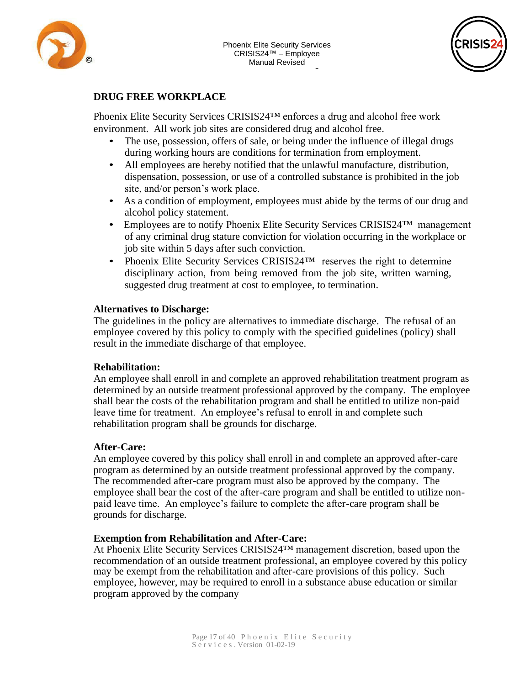



#### **DRUG FREE WORKPLACE**

Phoenix Elite Security Services CRISIS24™ enforces a drug and alcohol free work Ĭ, environment. All work job sites are considered drug and alcohol free.

- The use, possession, offers of sale, or being u[nder the influence of](http://www.phoenixelitesec.com/) illegal drugs during working hours are conditions for termination from employment.
- All employees are hereby notified that the unlawful manufacture, distribution, dispensation, possession, or use of a controlled substance is prohibited in the job site, and/or person's work place.
- As a condition of employment, employees must abide by the terms of our drug and alcohol policy statement.
- Employees are to notify Phoenix Elite Security Services CRISIS24<sup>TM</sup> management of any criminal drug stature conviction for violation occurring in the workplace or job site within 5 days after such conviction.
- Phoenix Elite Security Services CRISIS24<sup>TM</sup> reserves the right to determine disciplinary action, from being removed from the job site, written warning, suggested drug treatment at cost to employee, to termination.

#### **Alternatives to Discharge:**

The guidelines in the policy are alternatives to immediate discharge. The refusal of an employee covered by this policy to comply with the specified guidelines (policy) shall result in the immediate discharge of that employee.

#### **Rehabilitation:**

An employee shall enroll in and complete an approved rehabilitation treatment program as determined by an outside treatment professional approved by the company. The employee shall bear the costs of the rehabilitation program and shall be entitled to utilize non-paid leave time for treatment. An employee's refusal to enroll in and complete such rehabilitation program shall be grounds for discharge.

#### **After-Care:**

An employee covered by this policy shall enroll in and complete an approved after-care program as determined by an outside treatment professional approved by the company. The recommended after-care program must also be approved by the company. The employee shall bear the cost of the after-care program and shall be entitled to utilize nonpaid leave time. An employee's failure to complete the after-care program shall be grounds for discharge.

#### **Exemption from Rehabilitation and After-Care:**

At Phoenix Elite Security Services CRISIS24™ management discretion, based upon the recommendation of an outside treatment professional, an employee covered by this policy may be exempt from the rehabilitation and after-care provisions of this policy. Such employee, however, may be required to enroll in a substance abuse education or similar program approved by the company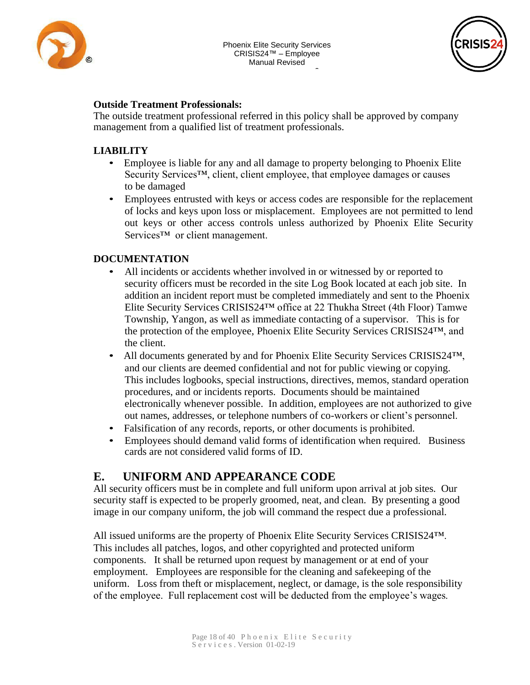



#### **Outside Treatment Professionals:**

The outside treatment professional referred in this policy shall be approved by company  $\ddot{\cdot}$ management from a qualified list of treatment professionals.

#### **LIABILITY**

- Employee is liable for any and all damage to property belonging to Phoenix Elite Security Services<sup>™,</sup> client, client employee, that employee damages or causes to be damaged
- Employees entrusted with keys or access codes are responsible for the replacement of locks and keys upon loss or misplacement. Employees are not permitted to lend out keys or other access controls unless authorized by Phoenix Elite Security Services<sup>™</sup> or client management.

#### **DOCUMENTATION**

- All incidents or accidents whether involved in or witnessed by or reported to security officers must be recorded in the site Log Book located at each job site. In addition an incident report must be completed immediately and sent to the Phoenix Elite Security Services CRISIS24™ office at 22 Thukha Street (4th Floor) Tamwe Township, Yangon, as well as immediate contacting of a supervisor. This is for the protection of the employee, Phoenix Elite Security Services CRISIS24™, and the client.
- All documents generated by and for Phoenix Elite Security Services CRISIS24<sup>TM</sup>, and our clients are deemed confidential and not for public viewing or copying. This includes logbooks, special instructions, directives, memos, standard operation procedures, and or incidents reports. Documents should be maintained electronically whenever possible. In addition, employees are not authorized to give out names, addresses, or telephone numbers of co-workers or client's personnel.
- Falsification of any records, reports, or other documents is prohibited.
- Employees should demand valid forms of identification when required. Business cards are not considered valid forms of ID.

## **E. UNIFORM AND APPEARANCE CODE**

All security officers must be in complete and full uniform upon arrival at job sites. Our security staff is expected to be properly groomed, neat, and clean. By presenting a good image in our company uniform, the job will command the respect due a professional.

All issued uniforms are the property of Phoenix Elite Security Services CRISIS24™. This includes all patches, logos, and other copyrighted and protected uniform components. It shall be returned upon request by management or at end of your employment. Employees are responsible for the cleaning and safekeeping of the uniform. Loss from theft or misplacement, neglect, or damage, is the sole responsibility of the employee. Full replacement cost will be deducted from the employee's wages.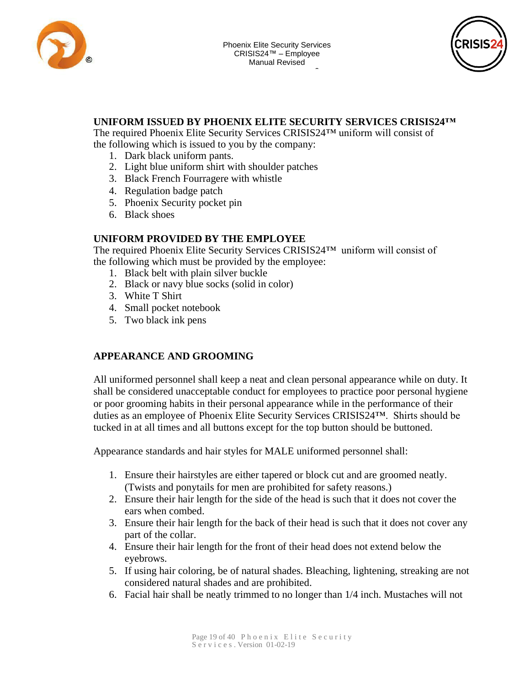



#### - 1 **UNIFORM ISSUED BY PHOENIX ELITE SECURITY SERVICES CRISIS24™**

The required Phoenix Elite Security Services CRISI[S24™ uniform will c](http://www.phoenixelitesec.com/)onsist of the following which is issued to you by the company:

- 1. Dark black uniform pants.
- 2. Light blue uniform shirt with shoulder patches
- 3. Black French Fourragere with whistle
- 4. Regulation badge patch
- 5. Phoenix Security pocket pin
- 6. Black shoes

#### **UNIFORM PROVIDED BY THE EMPLOYEE**

The required Phoenix Elite Security Services CRISIS24™ uniform will consist of the following which must be provided by the employee:

- 1. Black belt with plain silver buckle
- 2. Black or navy blue socks (solid in color)
- 3. White T Shirt
- 4. Small pocket notebook
- 5. Two black ink pens

#### **APPEARANCE AND GROOMING**

All uniformed personnel shall keep a neat and clean personal appearance while on duty. It shall be considered unacceptable conduct for employees to practice poor personal hygiene or poor grooming habits in their personal appearance while in the performance of their duties as an employee of Phoenix Elite Security Services CRISIS24™. Shirts should be tucked in at all times and all buttons except for the top button should be buttoned.

Appearance standards and hair styles for MALE uniformed personnel shall:

- 1. Ensure their hairstyles are either tapered or block cut and are groomed neatly. (Twists and ponytails for men are prohibited for safety reasons.)
- 2. Ensure their hair length for the side of the head is such that it does not cover the ears when combed.
- 3. Ensure their hair length for the back of their head is such that it does not cover any part of the collar.
- 4. Ensure their hair length for the front of their head does not extend below the eyebrows.
- 5. If using hair coloring, be of natural shades. Bleaching, lightening, streaking are not considered natural shades and are prohibited.
- 6. Facial hair shall be neatly trimmed to no longer than 1/4 inch. Mustaches will not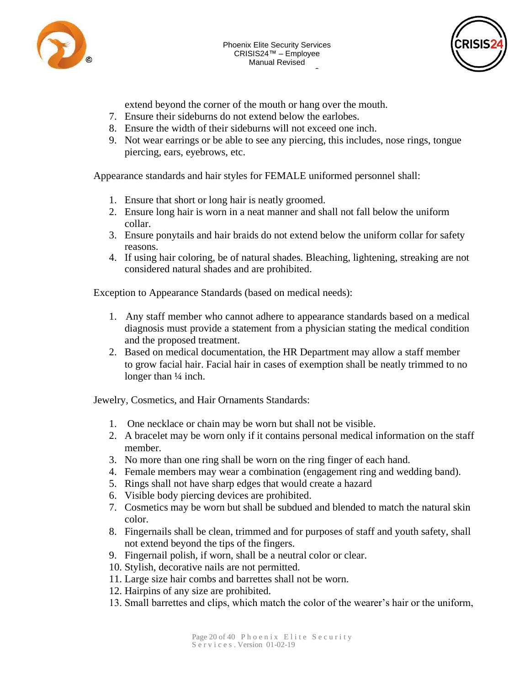

0



extend beyond the corner of the mouth or hang over the mouth.

- 7. Ensure their sideburns do not extend below the earlobes.
- |<br>| 9 8. Ensure the width of their sideburns will not exceed one inch.
- 9. Not wear earrings or be able to see any pierci[ng, this includes, nos](http://www.phoenixelitesec.com/)e rings, tongue piercing, ears, eyebrows, etc.

Appearance standards and hair styles for FEMALE uniformed personnel shall:

- 1. Ensure that short or long hair is neatly groomed.
- 2. Ensure long hair is worn in a neat manner and shall not fall below the uniform collar.
- 3. Ensure ponytails and hair braids do not extend below the uniform collar for safety reasons.
- 4. If using hair coloring, be of natural shades. Bleaching, lightening, streaking are not considered natural shades and are prohibited.

Exception to Appearance Standards (based on medical needs):

- 1. Any staff member who cannot adhere to appearance standards based on a medical diagnosis must provide a statement from a physician stating the medical condition and the proposed treatment.
- 2. Based on medical documentation, the HR Department may allow a staff member to grow facial hair. Facial hair in cases of exemption shall be neatly trimmed to no longer than  $\frac{1}{4}$  inch.

Jewelry, Cosmetics, and Hair Ornaments Standards:

- 1. One necklace or chain may be worn but shall not be visible.
- 2. A bracelet may be worn only if it contains personal medical information on the staff member.
- 3. No more than one ring shall be worn on the ring finger of each hand.
- 4. Female members may wear a combination (engagement ring and wedding band).
- 5. Rings shall not have sharp edges that would create a hazard
- 6. Visible body piercing devices are prohibited.
- 7. Cosmetics may be worn but shall be subdued and blended to match the natural skin color.
- 8. Fingernails shall be clean, trimmed and for purposes of staff and youth safety, shall not extend beyond the tips of the fingers.
- 9. Fingernail polish, if worn, shall be a neutral color or clear.
- 10. Stylish, decorative nails are not permitted.
- 11. Large size hair combs and barrettes shall not be worn.
- 12. Hairpins of any size are prohibited.
- 13. Small barrettes and clips, which match the color of the wearer's hair or the uniform,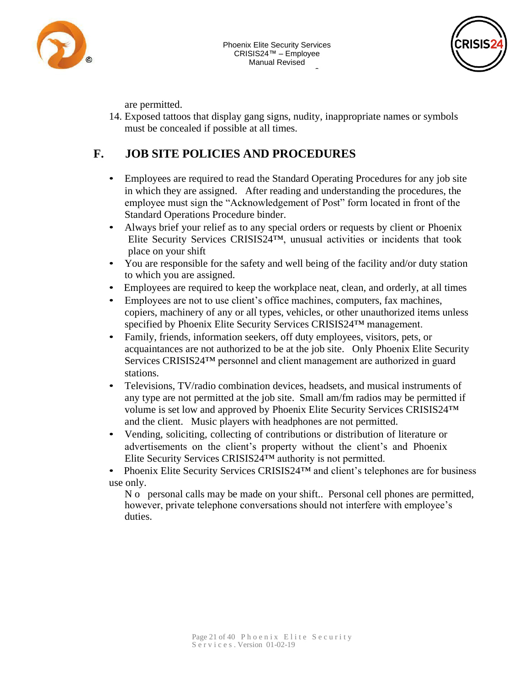



are permitted.

- 1 14. Exposed tattoos that display gang signs, nudity, inappropriate names or symbols must be concealed if possible at all times.

0

# F. JOB SITE POLICIES AND PROCEDURES

- Employees are required to read the Standard Operating Procedures for any job site in which they are assigned. After reading and understanding the procedures, the employee must sign the "Acknowledgement of Post" form located in front of the Standard Operations Procedure binder.
- Always brief your relief as to any special orders or requests by client or Phoenix Elite Security Services CRISIS24™, unusual activities or incidents that took place on your shift
- You are responsible for the safety and well being of the facility and/or duty station to which you are assigned.
- Employees are required to keep the workplace neat, clean, and orderly, at all times
- Employees are not to use client's office machines, computers, fax machines, copiers, machinery of any or all types, vehicles, or other unauthorized items unless specified by Phoenix Elite Security Services CRISIS24™ management.
- Family, friends, information seekers, off duty employees, visitors, pets, or acquaintances are not authorized to be at the job site. Only Phoenix Elite Security Services CRISIS24™ personnel and client management are authorized in guard stations.
- Televisions, TV/radio combination devices, headsets, and musical instruments of any type are not permitted at the job site. Small am/fm radios may be permitted if volume is set low and approved by Phoenix Elite Security Services CRISIS24™ and the client. Music players with headphones are not permitted.
- Vending, soliciting, collecting of contributions or distribution of literature or advertisements on the client's property without the client's and Phoenix Elite Security Services CRISIS24™ authority is not permitted.

• Phoenix Elite Security Services CRISIS24<sup>TM</sup> and client's telephones are for business use only.

N o personal calls may be made on your shift.. Personal cell phones are permitted, however, private telephone conversations should not interfere with employee's duties.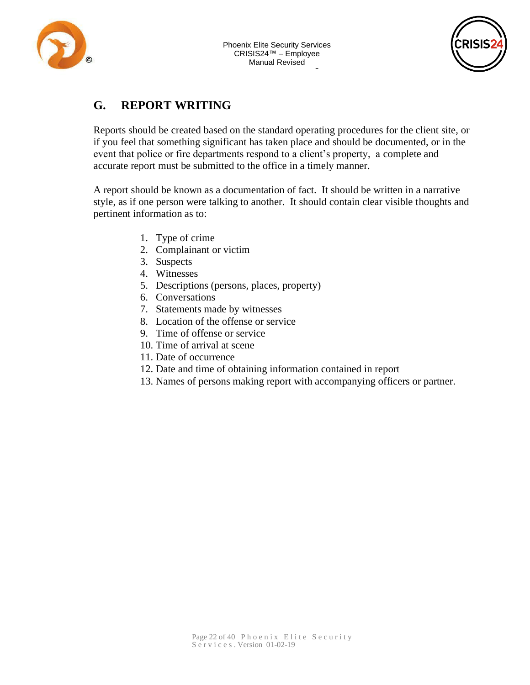



# **G. REPORT WRITING**

Reports should be created based on the standard operating procedures for the client site, or if you feel that something significant has taken place [and should be docum](http://www.phoenixelitesec.com/)ented, or in the event that police or fire departments respond to a client's property, a complete and accurate report must be submitted to the office in a timely manner.

A report should be known as a documentation of fact. It should be written in a narrative style, as if one person were talking to another. It should contain clear visible thoughts and pertinent information as to:

- 1. Type of crime
- 2. Complainant or victim
- 3. Suspects
- 4. Witnesses
- 5. Descriptions (persons, places, property)
- 6. Conversations
- 7. Statements made by witnesses
- 8. Location of the offense or service
- 9. Time of offense or service
- 10. Time of arrival at scene
- 11. Date of occurrence
- 12. Date and time of obtaining information contained in report
- 13. Names of persons making report with accompanying officers or partner.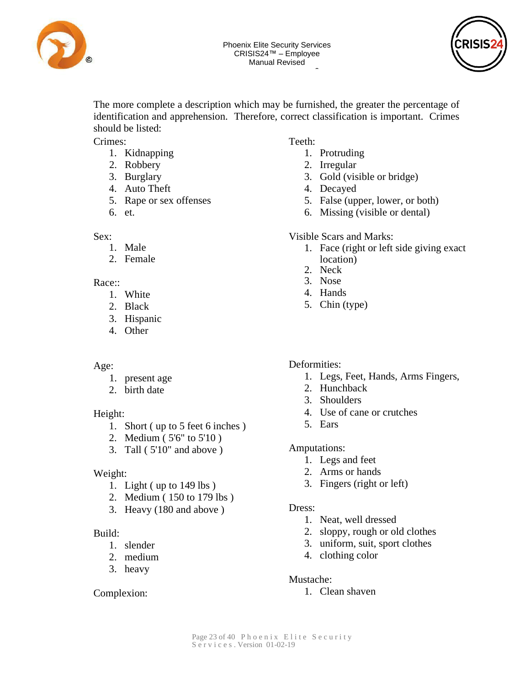



The more complete a description which may be furnished, the greater the percentage of identification and apprehension. Therefore, correct classification is important. Crimes should be listed:

Crimes:

- $\sigma$ 1. Kidnapping
- 2. Robbery
- 3. Burglary
- 4. Auto Theft
- 5. Rape or sex offenses
- 6. et.

#### Sex:

- 1. Male
- 2. Female

#### Race::

- 1. White
- 2. Black
- 3. Hispanic
- 4. Other

#### Age:

- 1. present age
- 2. birth date

#### Height:

- 1. Short ( up to 5 feet 6 inches )
- 2. Medium ( 5'6" to 5'10 )
- 3. Tall ( 5'10" and above )

#### Weight:

- 1. Light ( up to 149 lbs )
- 2. Medium ( 150 to 179 lbs )
- 3. Heavy (180 and above )

#### Build:

- 1. slender
- 2. medium
- 3. heavy

#### Complexion:

#### **Available online a[t](http://www.phoenixelitesec.com/) the Teeth:**

- 1. Protruding
- 2. Irregular
- 3. Gold (visible or bridge)
- 4. Decayed
- 5. False (upper, lower, or both)
- 6. Missing (visible or dental)

#### Visible Scars and Marks:

- 1. Face (right or left side giving exact location)
- 2. Neck
- 3. Nose
- 4. Hands
- 5. Chin (type)

#### Deformities:

- 1. Legs, Feet, Hands, Arms Fingers,
- 2. Hunchback
- 3. Shoulders
- 4. Use of cane or crutches
- 5. Ears

#### Amputations:

- 1. Legs and feet
- 2. Arms or hands
- 3. Fingers (right or left)

#### Dress:

- 1. Neat, well dressed
- 2. sloppy, rough or old clothes
- 3. uniform, suit, sport clothes
- 4. clothing color

#### Mustache:

1. Clean shaven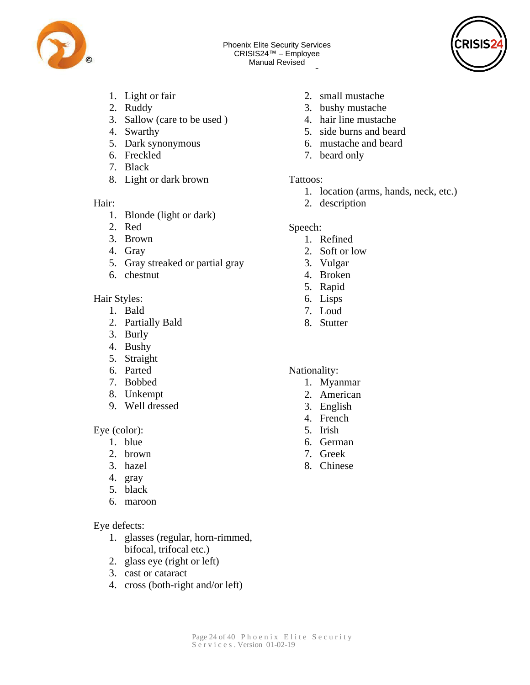



- 1. Light or fair
- 2. Ruddy
- 3. Sallow (care to be used )
- 4. Swarthy
- 5. Dark synonymous 6.  $\mathcal{L}_{\mathcal{I}}$  is  $\mathcal{L}_{\mathcal{I}}$
- 6. Freckled
- 7. Black
- 8. Light or dark brown

#### Hair:

- 1. Blonde (light or dark)
- 2. Red
- 3. Brown
- 4. Gray
- 5. Gray streaked or partial gray
- 6. chestnut

#### Hair Styles:

- 1. Bald
- 2. Partially Bald
- 3. Burly
- 4. Bushy
- 5. Straight
- 6. Parted
- 7. Bobbed
- 8. Unkempt
- 9. Well dressed

Eye (color):

- 1. blue
- 2. brown
- 3. hazel
- 4. gray
- 5. black
- 6. maroon

#### Eye defects:

- 1. glasses (regular, horn-rimmed, bifocal, trifocal etc.)
- 2. glass eye (right or left)
- 3. cast or cataract
- 4. cross (both-right and/or left)
- 0 2. small mustache
- 2 3. bushy mustache
- 1 4. hair line mustache
- 9 5. side burns and beard
- 6. [mustache and bear](http://www.phoenixelitesec.com/)d
- 7. beard only

#### Tattoos:

- 1. location (arms, hands, neck, etc.)
- 2. description

#### Speech:

- 1. Refined
	- 2. Soft or low
	- 3. Vulgar
	- 4. Broken
	- 5. Rapid
	- 6. Lisps
	- 7. Loud
	- 8. Stutter

#### Nationality:

- 1. Myanmar
- 2. American
- 3. English
- 4. French
- 5. Irish
- 6. German
- 7. Greek
- 8. Chinese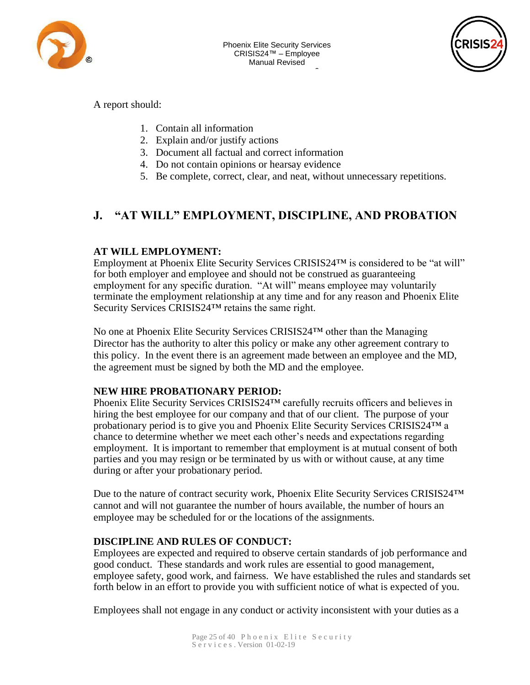



A report should:

- 1. Contain all information
- 2. Explain and/or jus[t](http://www.phoenixelitesec.com/)ify actions
- 3. Document all factual and correct information
- 4. Do not contain opinions or hearsay evidence
- 5. Be complete, correct, clear, and neat, without unnecessary repetitions.

# **J. "AT WILL" EMPLOYMENT, DISCIPLINE, AND PROBATION**

#### **AT WILL EMPLOYMENT:**

Employment at Phoenix Elite Security Services CRISIS24™ is considered to be "at will" for both employer and employee and should not be construed as guaranteeing employment for any specific duration. "At will" means employee may voluntarily terminate the employment relationship at any time and for any reason and Phoenix Elite Security Services CRISIS24™ retains the same right.

No one at Phoenix Elite Security Services CRISIS24™ other than the Managing Director has the authority to alter this policy or make any other agreement contrary to this policy. In the event there is an agreement made between an employee and the MD, the agreement must be signed by both the MD and the employee.

#### **NEW HIRE PROBATIONARY PERIOD:**

Phoenix Elite Security Services CRISIS24™ carefully recruits officers and believes in hiring the best employee for our company and that of our client. The purpose of your probationary period is to give you and Phoenix Elite Security Services CRISIS24™ a chance to determine whether we meet each other's needs and expectations regarding employment. It is important to remember that employment is at mutual consent of both parties and you may resign or be terminated by us with or without cause, at any time during or after your probationary period.

Due to the nature of contract security work, Phoenix Elite Security Services CRISIS24™ cannot and will not guarantee the number of hours available, the number of hours an employee may be scheduled for or the locations of the assignments.

#### **DISCIPLINE AND RULES OF CONDUCT:**

Employees are expected and required to observe certain standards of job performance and good conduct. These standards and work rules are essential to good management, employee safety, good work, and fairness. We have established the rules and standards set forth below in an effort to provide you with sufficient notice of what is expected of you.

Employees shall not engage in any conduct or activity inconsistent with your duties as a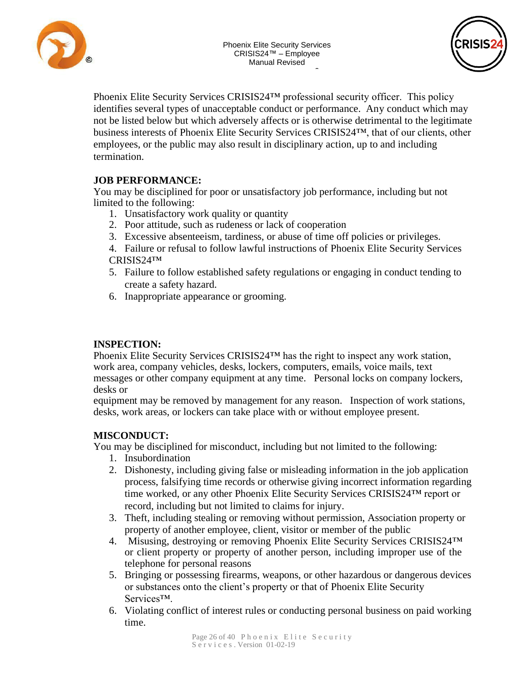





Phoenix Elite Security Services CRISIS24™ professional security officer. This policy identifies several types of unacceptable conduct or performance. Any conduct which may - 1 not be listed below but which adversely affects or is otherwise detrimental to the legitimate business interests of Phoenix Elite Security Services CRISIS24™, that of our clients, other nublic may also result in disciplinat employees, or the public may also result in disciplin[ary action, up to and](http://www.phoenixelitesec.com/) including termination.

#### **JOB PERFORMANCE:**

You may be disciplined for poor or unsatisfactory job performance, including but not limited to the following:

- 1. Unsatisfactory work quality or quantity
- 2. Poor attitude, such as rudeness or lack of cooperation
- 3. Excessive absenteeism, tardiness, or abuse of time off policies or privileges.
- 4. Failure or refusal to follow lawful instructions of Phoenix Elite Security Services CRISIS24™
- 5. Failure to follow established safety regulations or engaging in conduct tending to create a safety hazard.
- 6. Inappropriate appearance or grooming.

#### **INSPECTION:**

Phoenix Elite Security Services CRISIS24™ has the right to inspect any work station, work area, company vehicles, desks, lockers, computers, emails, voice mails, text messages or other company equipment at any time. Personal locks on company lockers, desks or

equipment may be removed by management for any reason. Inspection of work stations, desks, work areas, or lockers can take place with or without employee present.

#### **MISCONDUCT:**

You may be disciplined for misconduct, including but not limited to the following:

- 1. Insubordination
- 2. Dishonesty, including giving false or misleading information in the job application process, falsifying time records or otherwise giving incorrect information regarding time worked, or any other Phoenix Elite Security Services CRISIS24™ report or record, including but not limited to claims for injury.
- 3. Theft, including stealing or removing without permission, Association property or property of another employee, client, visitor or member of the public
- 4. Misusing, destroying or removing Phoenix Elite Security Services CRISIS24™ or client property or property of another person, including improper use of the telephone for personal reasons
- 5. Bringing or possessing firearms, weapons, or other hazardous or dangerous devices or substances onto the client's property or that of Phoenix Elite Security Services™.
- 6. Violating conflict of interest rules or conducting personal business on paid working time.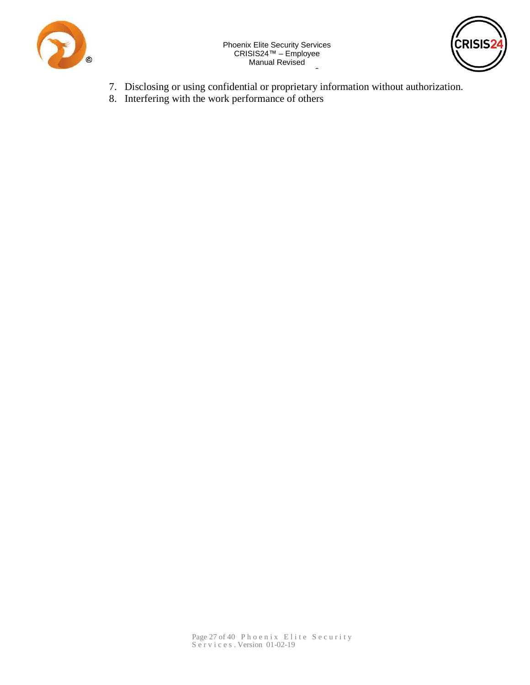



- 7. Disclosing or using confidential or proprietary information without authorization.

0

.<br>r 2 8. Interfering with the work performance of others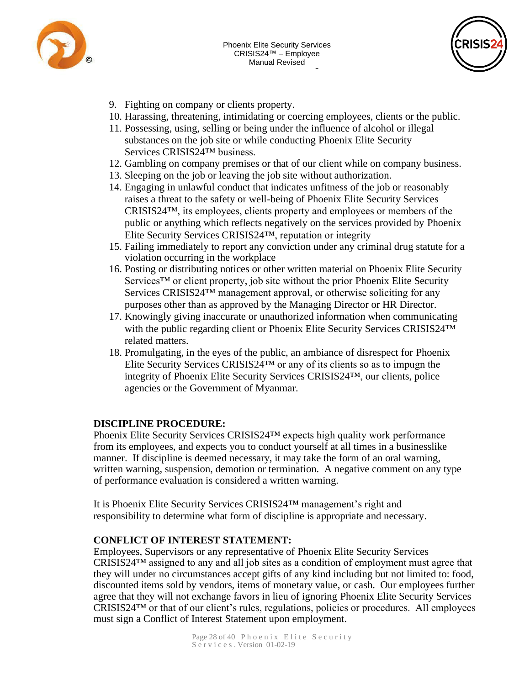



- 9. Fighting on company or clients property.
- 10. Harassing, threatening, intimidating or coercing employees, clients or the public.

0

- .<br>.. 9 11. Possessing, using, selling or being under the influence of alcohol or illegal substances on the job site or while conductin[g Phoenix Elite Secu](http://www.phoenixelitesec.com/)rity Services CRISIS24™ business.
- 12. Gambling on company premises or that of our client while on company business.
- 13. Sleeping on the job or leaving the job site without authorization.
- 14. Engaging in unlawful conduct that indicates unfitness of the job or reasonably raises a threat to the safety or well-being of Phoenix Elite Security Services CRISIS24™, its employees, clients property and employees or members of the public or anything which reflects negatively on the services provided by Phoenix Elite Security Services CRISIS24™, reputation or integrity
- 15. Failing immediately to report any conviction under any criminal drug statute for a violation occurring in the workplace
- 16. Posting or distributing notices or other written material on Phoenix Elite Security Services™ or client property, job site without the prior Phoenix Elite Security Services CRISIS24<sup>™</sup> management approval, or otherwise soliciting for any purposes other than as approved by the Managing Director or HR Director.
- 17. Knowingly giving inaccurate or unauthorized information when communicating with the public regarding client or Phoenix Elite Security Services CRISIS24™ related matters.
- 18. Promulgating, in the eyes of the public, an ambiance of disrespect for Phoenix Elite Security Services CRISIS24™ or any of its clients so as to impugn the integrity of Phoenix Elite Security Services CRISIS24™, our clients, police agencies or the Government of Myanmar.

#### **DISCIPLINE PROCEDURE:**

Phoenix Elite Security Services CRISIS24<sup>™</sup> expects high quality work performance from its employees, and expects you to conduct yourself at all times in a businesslike manner. If discipline is deemed necessary, it may take the form of an oral warning, written warning, suspension, demotion or termination. A negative comment on any type of performance evaluation is considered a written warning.

It is Phoenix Elite Security Services CRISIS24™ management's right and responsibility to determine what form of discipline is appropriate and necessary.

#### **CONFLICT OF INTEREST STATEMENT:**

Employees, Supervisors or any representative of Phoenix Elite Security Services CRISIS24™ assigned to any and all job sites as a condition of employment must agree that they will under no circumstances accept gifts of any kind including but not limited to: food, discounted items sold by vendors, items of monetary value, or cash. Our employees further agree that they will not exchange favors in lieu of ignoring Phoenix Elite Security Services CRISIS24™ or that of our client's rules, regulations, policies or procedures. All employees must sign a Conflict of Interest Statement upon employment.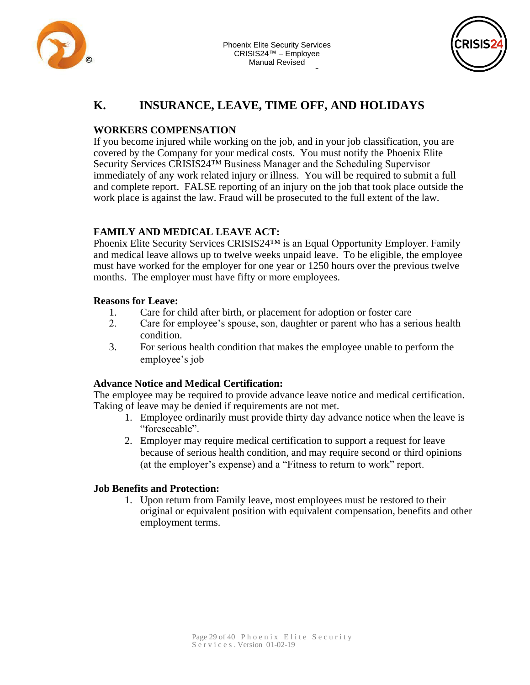



# 2 **K. INSURANCE, LEAVE, TIME OFF, AND HOLIDAYS**

#### **WORKERS COMPENSATION**

If you become injured while working on the job, and [in your job classific](http://www.phoenixelitesec.com/)ation, you are covered by the Company for your medical costs. You must notify the Phoenix Elite Security Services CRISIS24™ Business Manager and the Scheduling Supervisor immediately of any work related injury or illness. You will be required to submit a full and complete report. FALSE reporting of an injury on the job that took place outside the work place is against the law. Fraud will be prosecuted to the full extent of the law.

#### **FAMILY AND MEDICAL LEAVE ACT:**

Phoenix Elite Security Services CRISIS24™ is an Equal Opportunity Employer. Family and medical leave allows up to twelve weeks unpaid leave. To be eligible, the employee must have worked for the employer for one year or 1250 hours over the previous twelve months. The employer must have fifty or more employees.

#### **Reasons for Leave:**

- 1. Care for child after birth, or placement for adoption or foster care
- 2. Care for employee's spouse, son, daughter or parent who has a serious health condition.
- 3. For serious health condition that makes the employee unable to perform the employee's job

#### **Advance Notice and Medical Certification:**

The employee may be required to provide advance leave notice and medical certification. Taking of leave may be denied if requirements are not met.

- 1. Employee ordinarily must provide thirty day advance notice when the leave is "foreseeable".
- 2. Employer may require medical certification to support a request for leave because of serious health condition, and may require second or third opinions (at the employer's expense) and a "Fitness to return to work" report.

#### **Job Benefits and Protection:**

1. Upon return from Family leave, most employees must be restored to their original or equivalent position with equivalent compensation, benefits and other employment terms.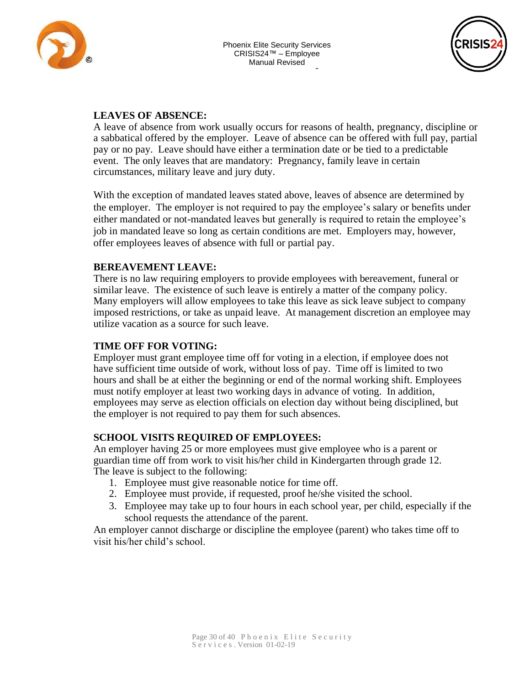



#### **LEAVES OF ABSENCE:**

1 A leave of absence from work usually occurs for reasons of health, pregnancy, discipline or  $\overline{ }$ a sabbatical offered by the employer. Leave of abse[nce can be offered w](http://www.phoenixelitesec.com/)ith full pay, partial pay or no pay. L[eave should have either a](http://www.phoenixelitesec.com/) termination date or be tied to a predictable event. The only leaves that are mandatory: Pregnancy, family leave in certain circumstances, military leave and jury duty.

With the exception of mandated leaves stated above, leaves of absence are determined by the employer. The employer is not required to pay the employee's salary or benefits under either mandated or not-mandated leaves but generally is required to retain the employee's job in mandated leave so long as certain conditions are met. Employers may, however, offer employees leaves of absence with full or partial pay.

#### **BEREAVEMENT LEAVE:**

There is no law requiring employers to provide employees with bereavement, funeral or similar leave. The existence of such leave is entirely a matter of the company policy. Many employers will allow employees to take this leave as sick leave subject to company imposed restrictions, or take as unpaid leave. At management discretion an employee may utilize vacation as a source for such leave.

#### **TIME OFF FOR VOTING:**

Employer must grant employee time off for voting in a election, if employee does not have sufficient time outside of work, without loss of pay. Time off is limited to two hours and shall be at either the beginning or end of the normal working shift. Employees must notify employer at least two working days in advance of voting. In addition, employees may serve as election officials on election day without being disciplined, but the employer is not required to pay them for such absences.

#### **SCHOOL VISITS REQUIRED OF EMPLOYEES:**

An employer having 25 or more employees must give employee who is a parent or guardian time off from work to visit his/her child in Kindergarten through grade 12. The leave is subject to the following:

- 1. Employee must give reasonable notice for time off.
- 2. Employee must provide, if requested, proof he/she visited the school.
- 3. Employee may take up to four hours in each school year, per child, especially if the school requests the attendance of the parent.

An employer cannot discharge or discipline the employee (parent) who takes time off to visit his/her child's school.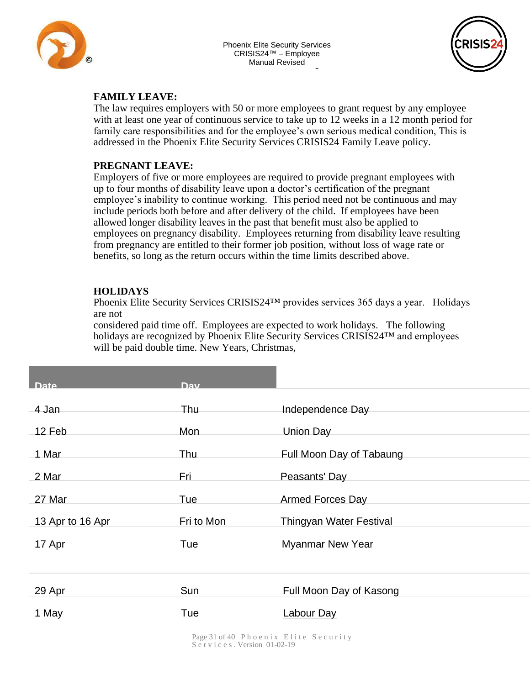

0



#### **FAMILY LEAVE:**

The law requires employers with 50 or more employees to grant request by any employee with at least one year of continuous service to take up to 12 weeks in a 12 month period for family care responsibilities and for the employee's own serious medical condition, This is addressed in the Phoenix Elite Security Services CRISIS24 [Family](http://www.phoenixelitesec.com/) Leave policy. where  $\frac{1}{2}$ 

#### **PREGNANT LEAVE:**

Employers of five or more employees are required to provide pregnant employees with up to four months of disability leave upon a doctor's certification of the pregnant employee's inability to continue working. This period need not be continuous and may include periods both before and after delivery of the child. If employees have been allowed longer disability leaves in the past that benefit must also be applied to employees on pregnancy disability. Employees returning from disability leave resulting from pregnancy are entitled to their former job position, without loss of wage rate or benefits, so long as the return occurs within the time limits described above.

#### **HOLIDAYS**

Phoenix Elite Security Services CRISIS24™ provides services 365 days a year. Holidays are not

considered paid time off. Employees are expected to work holidays. The following holidays are recognized by Phoenix Elite Security Services CRISIS24™ and employees will be paid double time. New Years, Christmas,

| <b>Date</b>      | <b>Dav</b> |                          |
|------------------|------------|--------------------------|
| 4 Jan            | Thu –      | Independence Day         |
| 12 Feb           | Mon        | Union Day                |
| 1 Mar            | Thu        | Full Moon Day of Tabaung |
| 2 Mar            | Fri        | Peasants' Day            |
| 27 Mar           | Tue        | <b>Armed Forces Day</b>  |
| 13 Apr to 16 Apr | Fri to Mon | Thingyan Water Festival  |
| 17 Apr           | Tue        | <b>Myanmar New Year</b>  |
|                  |            |                          |
| 29 Apr           | Sun        | Full Moon Day of Kasong  |
| 1 May            | Tue        | <b>Labour Day</b>        |
|                  |            |                          |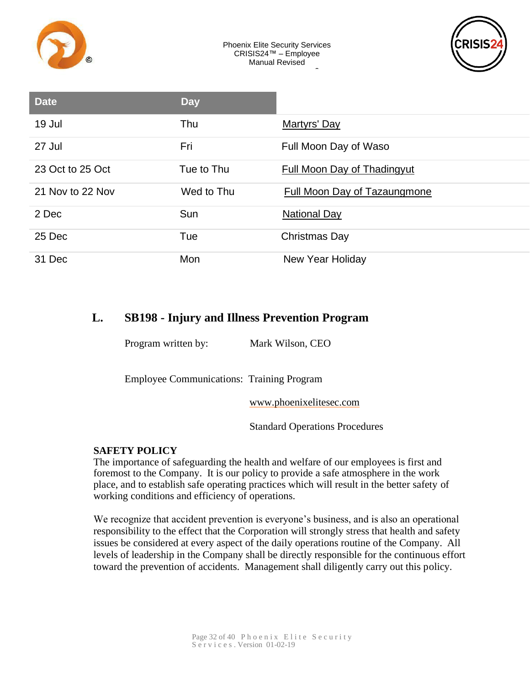



| <b>Date</b>      | <b>Day</b> |                              |
|------------------|------------|------------------------------|
| 19 Jul           | Thu        | <b>Martyrs' Day</b>          |
| 27 Jul           | Fri        | Full Moon Day of Waso        |
| 23 Oct to 25 Oct | Tue to Thu | Full Moon Day of Thadingyut  |
| 21 Nov to 22 Nov | Wed to Thu | Full Moon Day of Tazaungmone |
| 2 Dec            | Sun        | <b>National Day</b>          |
| 25 Dec           | Tue        | Christmas Day                |
| 31 Dec           | Mon        | <b>New Year Holiday</b>      |

# **L. SB198 - Injury and Illness Prevention Program**

Program written by: Mark Wilson, CEO

Employee Communications: Training Program

[www.phoenixelitesec.com](http://www.phoenixelitesec.com/)

Standard Operations Procedures

#### **SAFETY POLICY**

The importance of safeguarding the health and welfare of our employees is first and foremost to the Company. It is our policy to provide a safe atmosphere in the work place, and to establish safe operating practices which will result in the better safety of working conditions and efficiency of operations.

We recognize that accident prevention is everyone's business, and is also an operational responsibility to the effect that the Corporation will strongly stress that health and safety issues be considered at every aspect of the daily operations routine of the Company. All levels of leadership in the Company shall be directly responsible for the continuous effort toward the prevention of accidents. Management shall diligently carry out this policy.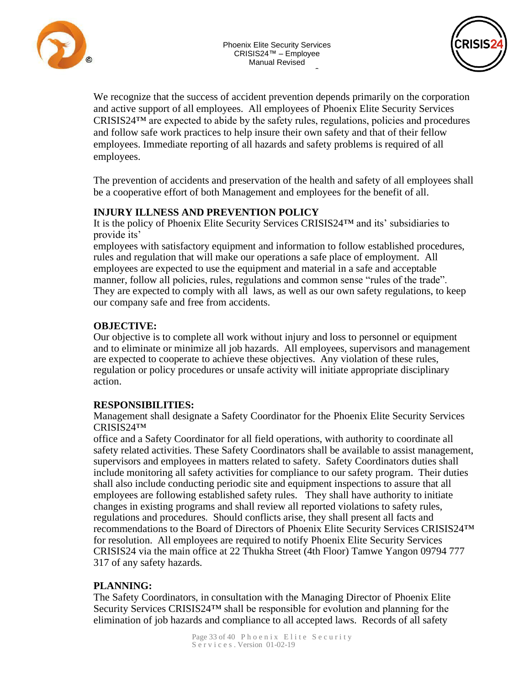



We recognize that the success of accident prevention depends primarily on the corporation and active support of all employees. All employees of Phoenix Elite Security Services - CRISIS24™ are expected to abide by the safety rules, regulations, policies and procedures and follow safe work practices to help insure their own safety and that of their fellow a<br>diate reporting of all hazards and sai employees. Immediate reporting of all hazards and s[afety problems is req](http://www.phoenixelitesec.com/)uired of all employees.

The prevention of accidents and preservation of the health and safety of all employees shall be a cooperative effort of both Management and employees for the benefit of all.

#### **INJURY ILLNESS AND PREVENTION POLICY**

It is the policy of Phoenix Elite Security Services CRISIS24™ and its' subsidiaries to provide its'

employees with satisfactory equipment and information to follow established procedures, rules and regulation that will make our operations a safe place of employment. All employees are expected to use the equipment and material in a safe and acceptable manner, follow all policies, rules, regulations and common sense "rules of the trade". They are expected to comply with all laws, as well as our own safety regulations, to keep our company safe and free from accidents.

#### **OBJECTIVE:**

Our objective is to complete all work without injury and loss to personnel or equipment and to eliminate or minimize all job hazards. All employees, supervisors and management are expected to cooperate to achieve these objectives. Any violation of these rules, regulation or policy procedures or unsafe activity will initiate appropriate disciplinary action.

#### **RESPONSIBILITIES:**

Management shall designate a Safety Coordinator for the Phoenix Elite Security Services CRISIS24™

office and a Safety Coordinator for all field operations, with authority to coordinate all safety related activities. These Safety Coordinators shall be available to assist management, supervisors and employees in matters related to safety. Safety Coordinators duties shall include monitoring all safety activities for compliance to our safety program. Their duties shall also include conducting periodic site and equipment inspections to assure that all employees are following established safety rules. They shall have authority to initiate changes in existing programs and shall review all reported violations to safety rules, regulations and procedures. Should conflicts arise, they shall present all facts and recommendations to the Board of Directors of Phoenix Elite Security Services CRISIS24™ for resolution. All employees are required to notify Phoenix Elite Security Services CRISIS24 via the main office at 22 Thukha Street (4th Floor) Tamwe Yangon 09794 777 317 of any safety hazards.

#### **PLANNING:**

The Safety Coordinators, in consultation with the Managing Director of Phoenix Elite Security Services CRISIS24<sup>™</sup> shall be responsible for evolution and planning for the elimination of job hazards and compliance to all accepted laws. Records of all safety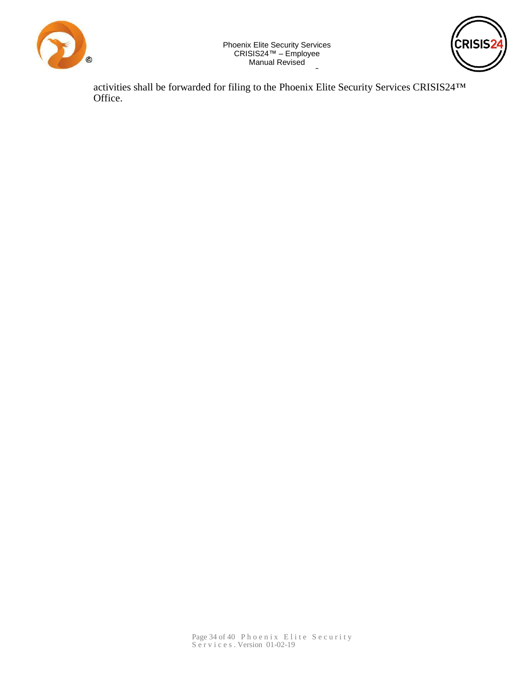



<u>.</u> activities shall be forwarded for filing to the Phoenix Elite Security Services CRISIS24™ Office.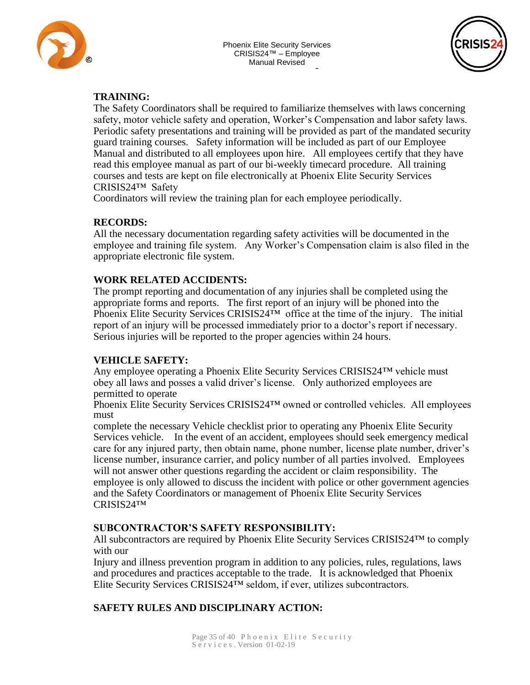





#### **TRAINING:**

2 The Safety Coordinators shall be required to familiarize themselves with laws concerning .<br>م safety, motor vehicle safety and operation, Worker's Compensation and labor safety laws. Periodic safety presentations and training will be provided as part of the mandated security guard training courses. Safety information will be i[ncluded as part of ou](http://www.phoenixelitesec.com/)r Employee Manual and distributed to all employees upon hire. All employees certify that they have read this employee manual as part of our bi-weekly timecard procedure. All training courses and tests are kept on file electronically at Phoenix Elite Security Services CRISIS24™ Safety

Coordinators will review the training plan for each employee periodically.

#### **RECORDS:**

All the necessary documentation regarding safety activities will be documented in the employee and training file system. Any Worker's Compensation claim is also filed in the appropriate electronic file system.

#### **WORK RELATED ACCIDENTS:**

The prompt reporting and documentation of any injuries shall be completed using the appropriate forms and reports. The first report of an injury will be phoned into the Phoenix Elite Security Services CRISIS24™ office at the time of the injury. The initial report of an injury will be processed immediately prior to a doctor's report if necessary. Serious injuries will be reported to the proper agencies within 24 hours.

#### **VEHICLE SAFETY:**

Any employee operating a Phoenix Elite Security Services CRISIS24™ vehicle must obey all laws and posses a valid driver's license. Only authorized employees are permitted to operate

Phoenix Elite Security Services CRISIS24™ owned or controlled vehicles. All employees must

complete the necessary Vehicle checklist prior to operating any Phoenix Elite Security Services vehicle. In the event of an accident, employees should seek emergency medical care for any injured party, then obtain name, phone number, license plate number, driver's license number, insurance carrier, and policy number of all parties involved. Employees will not answer other questions regarding the accident or claim responsibility. The employee is only allowed to discuss the incident with police or other government agencies and the Safety Coordinators or management of Phoenix Elite Security Services CRISIS24™

#### **SUBCONTRACTOR'S SAFETY RESPONSIBILITY:**

All subcontractors are required by Phoenix Elite Security Services CRISIS24™ to comply with our

Injury and illness prevention program in addition to any policies, rules, regulations, laws and procedures and practices acceptable to the trade. It is acknowledged that Phoenix Elite Security Services CRISIS24™ seldom, if ever, utilizes subcontractors.

#### **SAFETY RULES AND DISCIPLINARY ACTION:**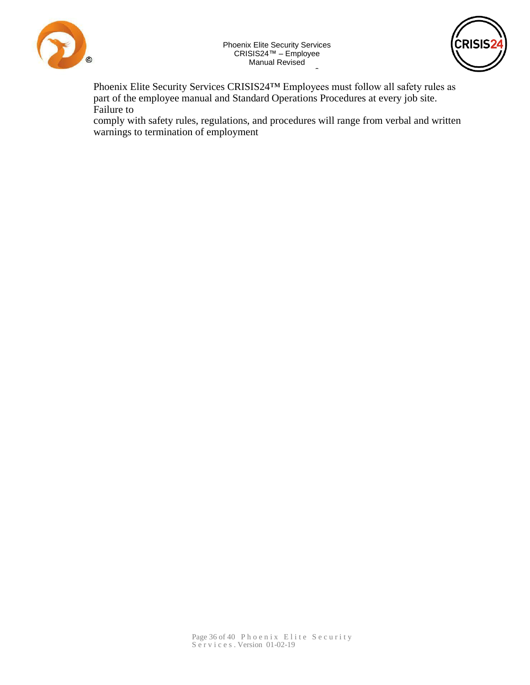



Phoenix Elite Security Services CRISIS24™ Employees must follow all safety rules as  $\mathbf{S}$ part of the employee manual and Standard Operations Procedures at every job site.<br>Foilure to Failure to

comply with safety rules, regulations, and procedures will range from verbal and written  $\mathbf{A}$  $\mathbf{A}$  $\mathbf{A}$  and  $\mathbf{A}$ warnings to termination of employment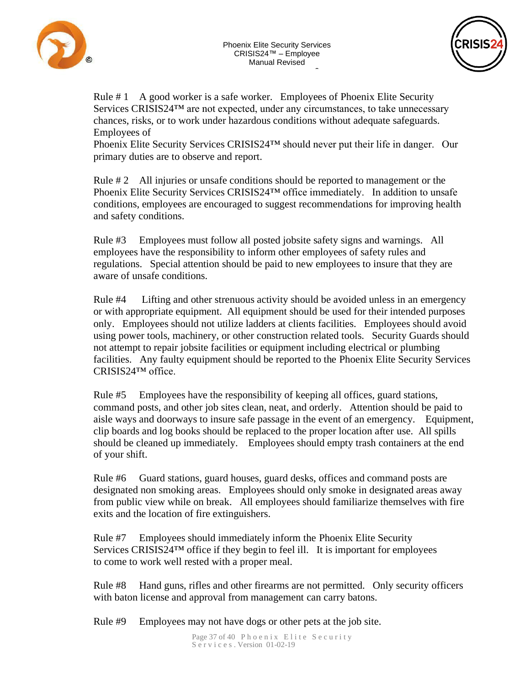



Rule # 1 A good worker is a safe worker. Employees of Phoenix Elite Security Services CRISIS24™ are not expected, under any circumstances, to take unnecessary - 1 chances, risks, or to work under hazardous conditions without adequate safeguards. Employees of

Phoenix Elite Security Services CRISIS24™ should [never put their life in](http://www.phoenixelitesec.com/) danger. Our primary duties are to observe and report.

Rule # 2 All injuries or unsafe conditions should be reported to management or the Phoenix Elite Security Services CRISIS24™ office immediately. In addition to unsafe conditions, employees are encouraged to suggest recommendations for improving health and safety conditions.

Rule #3 Employees must follow all posted jobsite safety signs and warnings. All employees have the responsibility to inform other employees of safety rules and regulations. Special attention should be paid to new employees to insure that they are aware of unsafe conditions.

Rule #4 Lifting and other strenuous activity should be avoided unless in an emergency or with appropriate equipment. All equipment should be used for their intended purposes only. Employees should not utilize ladders at clients facilities. Employees should avoid using power tools, machinery, or other construction related tools. Security Guards should not attempt to repair jobsite facilities or equipment including electrical or plumbing facilities. Any faulty equipment should be reported to the Phoenix Elite Security Services CRISIS24™ office.

Rule #5 Employees have the responsibility of keeping all offices, guard stations, command posts, and other job sites clean, neat, and orderly. Attention should be paid to aisle ways and doorways to insure safe passage in the event of an emergency. Equipment, clip boards and log books should be replaced to the proper location after use. All spills should be cleaned up immediately. Employees should empty trash containers at the end of your shift.

Rule #6 Guard stations, guard houses, guard desks, offices and command posts are designated non smoking areas. Employees should only smoke in designated areas away from public view while on break. All employees should familiarize themselves with fire exits and the location of fire extinguishers.

Rule #7 Employees should immediately inform the Phoenix Elite Security Services CRISIS24<sup>™</sup> office if they begin to feel ill. It is important for employees to come to work well rested with a proper meal.

Rule #8 Hand guns, rifles and other firearms are not permitted. Only security officers with baton license and approval from management can carry batons.

Rule #9 Employees may not have dogs or other pets at the job site.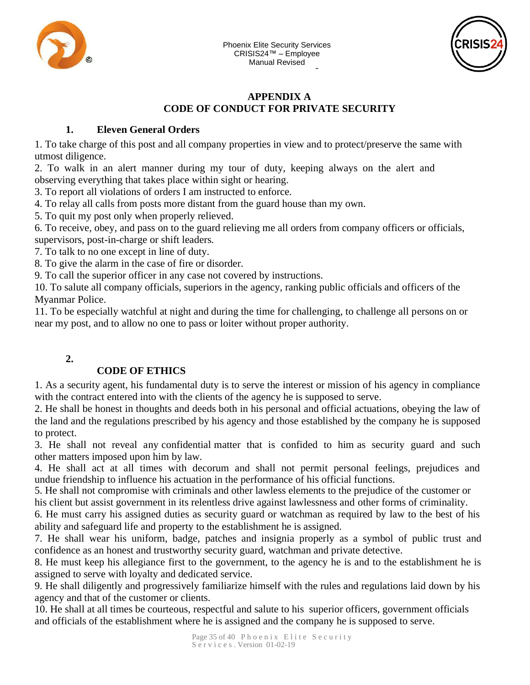



#### $\bar{I}$ - **CODE OF CONDUCT FOR PRIVATE SECURITY APPENDIX A**

#### **1. Eleven General Orders**

d all company properties in view an 1. To take charge of this post and all company properties in view a[nd to protect/preserv](http://www.phoenixelitesec.com/)e the same with utmost diligence.

2. To walk in an alert manner during my tour of duty, keeping always on the alert and observing everything that takes place within sight or hearing.

3. To report all violations of orders I am instructed to enforce.

4. To relay all calls from posts more distant from the guard house than my own.

5. To quit my post only when properly relieved.

6. To receive, obey, and pass on to the guard relieving me all orders from company officers or officials, supervisors, post-in-charge or shift leaders.

7. To talk to no one except in line of duty.

8. To give the alarm in the case of fire or disorder.

9. To call the superior officer in any case not covered by instructions.

10. To salute all company officials, superiors in the agency, ranking public officials and officers of the Myanmar Police.

11. To be especially watchful at night and during the time for challenging, to challenge all persons on or near my post, and to allow no one to pass or loiter without proper authority.

# **2.**

# **CODE OF ETHICS**

1. As a security agent, his fundamental duty is to serve the interest or mission of his agency in compliance with the contract entered into with the clients of the agency he is supposed to serve.

2. He shall be honest in thoughts and deeds both in his personal and official actuations, obeying the law of the land and the regulations prescribed by his agency and those established by the company he is supposed to protect.

3. He shall not reveal any confidential matter that is confided to him as security guard and such other matters imposed upon him by law.

4. He shall act at all times with decorum and shall not permit personal feelings, prejudices and undue friendship to influence his actuation in the performance of his official functions.

5. He shall not compromise with criminals and other lawless elements to the prejudice of the customer or his client but assist government in its relentless drive against lawlessness and other forms of criminality.

6. He must carry his assigned duties as security guard or watchman as required by law to the best of his ability and safeguard life and property to the establishment he is assigned.

7. He shall wear his uniform, badge, patches and insignia properly as a symbol of public trust and confidence as an honest and trustworthy security guard, watchman and private detective.

8. He must keep his allegiance first to the government, to the agency he is and to the establishment he is assigned to serve with loyalty and dedicated service.

9. He shall diligently and progressively familiarize himself with the rules and regulations laid down by his agency and that of the customer or clients.

10. He shall at all times be courteous, respectful and salute to his superior officers, government officials and officials of the establishment where he is assigned and the company he is supposed to serve.